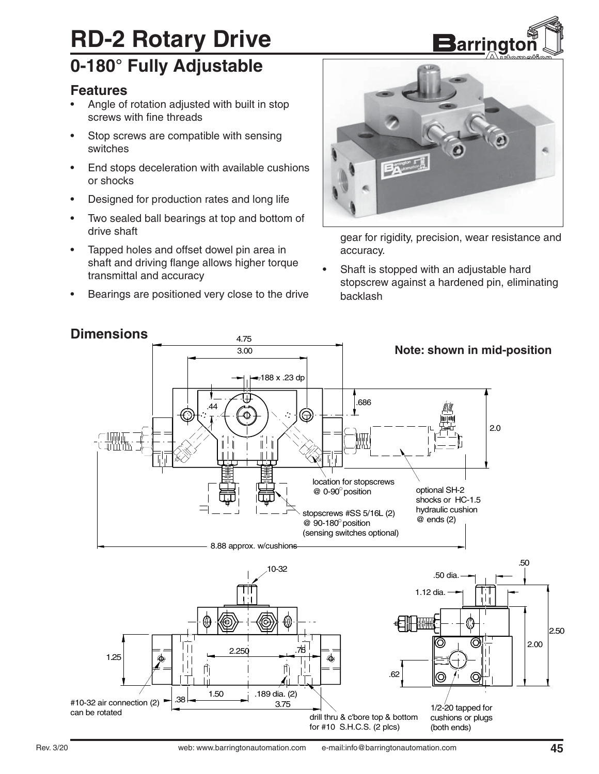# **RD-2 Rotary Drive**

### **0-180° Fully Adjustable**

#### **Features**

- Angle of rotation adjusted with built in stop screws with fine threads
- Stop screws are compatible with sensing switches
- End stops deceleration with available cushions or shocks
- Designed for production rates and long life
- Two sealed ball bearings at top and bottom of drive shaft
- Tapped holes and offset dowel pin area in shaft and driving flange allows higher torque transmittal and accuracy
- Bearings are positioned very close to the drive



gear for rigidity, precision, wear resistance and accuracy.

• Shaft is stopped with an adjustable hard stopscrew against a hardened pin, eliminating backlash



#### **Dimensions**